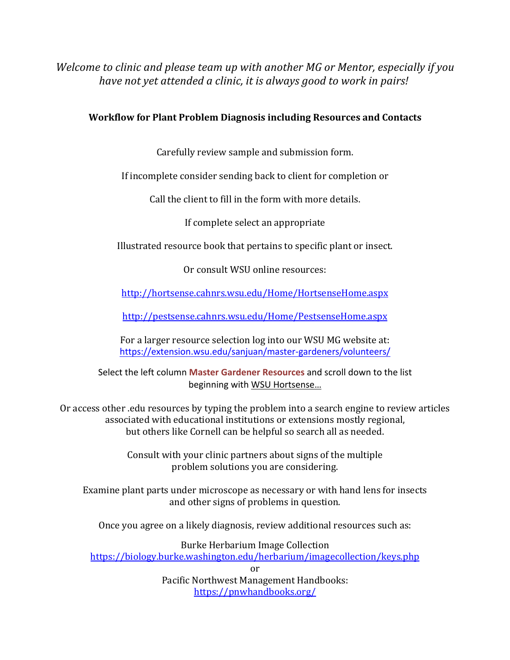*Welcome to clinic and please team up with another MG or Mentor, especially if you have not yet attended a clinic, it is always good to work in pairs!* 

# **Workflow for Plant Problem Diagnosis including Resources and Contacts**

Carefully review sample and submission form.

If incomplete consider sending back to client for completion or

Call the client to fill in the form with more details.

If complete select an appropriate

Illustrated resource book that pertains to specific plant or insect.

Or consult WSU online resources:

http://hortsense.cahnrs.wsu.edu/Home/HortsenseHome.aspx 

http://pestsense.cahnrs.wsu.edu/Home/PestsenseHome.aspx

For a larger resource selection log into our WSU MG website at: https://extension.wsu.edu/sanjuan/master-gardeners/volunteers/

Select the left column **Master Gardener Resources** and scroll down to the list beginning with WSU Hortsense…

Or access other edu resources by typing the problem into a search engine to review articles associated with educational institutions or extensions mostly regional, but others like Cornell can be helpful so search all as needed.

> Consult with your clinic partners about signs of the multiple problem solutions you are considering.

Examine plant parts under microscope as necessary or with hand lens for insects and other signs of problems in question.

Once you agree on a likely diagnosis, review additional resources such as:

Burke Herbarium Image Collection https://biology.burke.washington.edu/herbarium/imagecollection/keys.php or

Pacific Northwest Management Handbooks: https://pnwhandbooks.org/